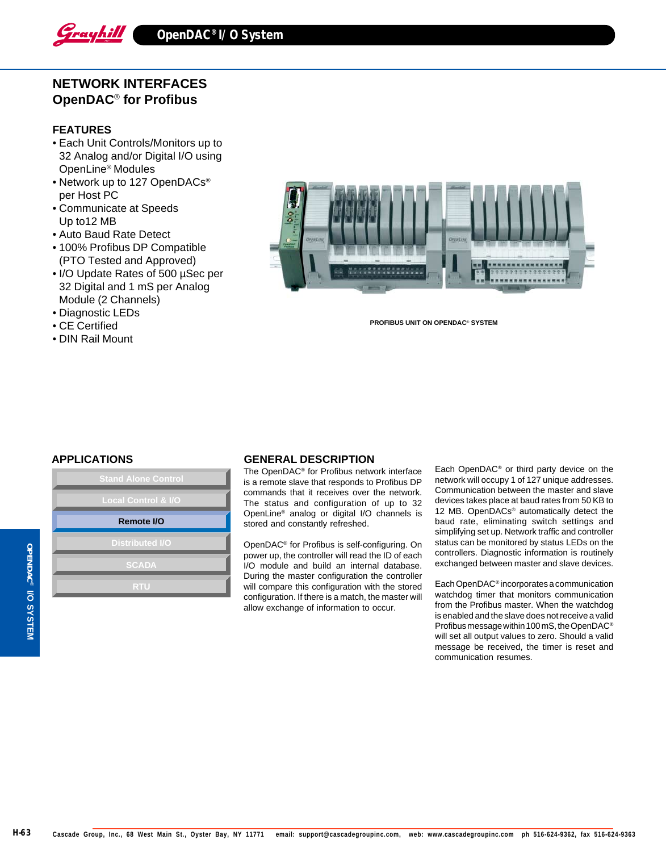

# **NETWORK INTERFACES OpenDAC**® **for Profibus**

#### **FEATURES**

- Each Unit Controls/Monitors up to 32 Analog and/or Digital I/O using OpenLine® Modules
- Network up to 127 OpenDACs<sup>®</sup> per Host PC
- Communicate at Speeds Up to12 MB
- Auto Baud Rate Detect
- 100% Profibus DP Compatible (PTO Tested and Approved)
- I/O Update Rates of 500 µSec per 32 Digital and 1 mS per Analog Module (2 Channels)
- Diagnostic LEDs
- CE Certified
- DIN Rail Mount



**PROFIBUS UNIT ON OPENDAC**® **SYSTEM**

| <b>Stand Alone Control</b>     |
|--------------------------------|
| <b>Local Control &amp; I/O</b> |
| Remote I/O                     |
| <b>Distributed I/O</b>         |
| <b>SCADA</b>                   |
| <b>RTU</b>                     |
|                                |

## **APPLICATIONS GENERAL DESCRIPTION**

The OpenDAC® for Profibus network interface is a remote slave that responds to Profibus DP commands that it receives over the network. The status and configuration of up to 32 OpenLine® analog or digital I/O channels is stored and constantly refreshed.

OpenDAC® for Profibus is self-configuring. On power up, the controller will read the ID of each I/O module and build an internal database. During the master configuration the controller will compare this configuration with the stored configuration. If there is a match, the master will allow exchange of information to occur.

Each OpenDAC® or third party device on the network will occupy 1 of 127 unique addresses. Communication between the master and slave devices takes place at baud rates from 50 KB to 12 MB. OpenDACs® automatically detect the baud rate, eliminating switch settings and simplifying set up. Network traffic and controller status can be monitored by status LEDs on the controllers. Diagnostic information is routinely exchanged between master and slave devices.

Each OpenDAC® incorporates a communication watchdog timer that monitors communication from the Profibus master. When the watchdog is enabled and the slave does not receive a valid Profibus message within 100 mS, the OpenDAC® will set all output values to zero. Should a valid message be received, the timer is reset and communication resumes.